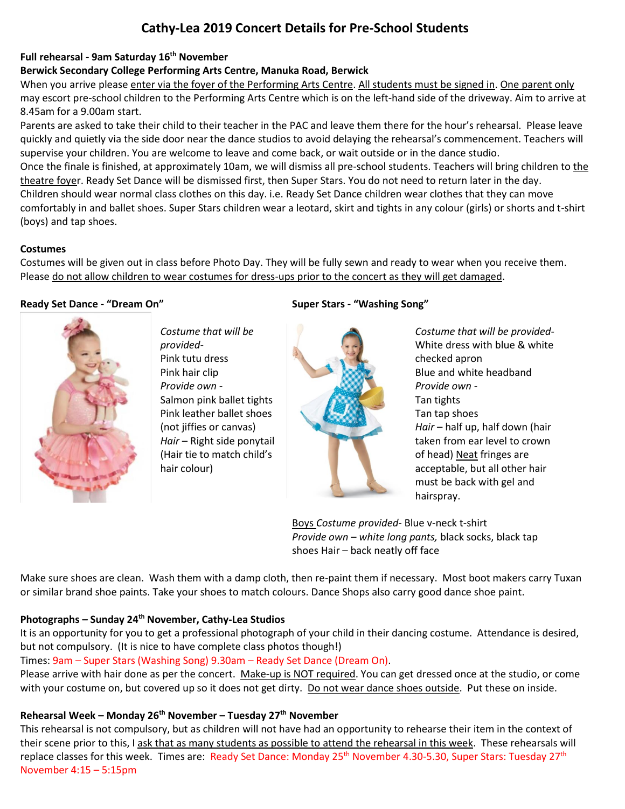# **Cathy-Lea 2019 Concert Details for Pre-School Students**

## **Full rehearsal - 9am Saturday 16 th November**

## **Berwick Secondary College Performing Arts Centre, Manuka Road, Berwick**

When you arrive please enter via the foyer of the Performing Arts Centre. All students must be signed in. One parent only may escort pre-school children to the Performing Arts Centre which is on the left-hand side of the driveway. Aim to arrive at 8.45am for a 9.00am start.

Parents are asked to take their child to their teacher in the PAC and leave them there for the hour's rehearsal. Please leave quickly and quietly via the side door near the dance studios to avoid delaying the rehearsal's commencement. Teachers will supervise your children. You are welcome to leave and come back, or wait outside or in the dance studio.

Once the finale is finished, at approximately 10am, we will dismiss all pre-school students. Teachers will bring children to the theatre foyer. Ready Set Dance will be dismissed first, then Super Stars. You do not need to return later in the day. Children should wear normal class clothes on this day. i.e. Ready Set Dance children wear clothes that they can move

comfortably in and ballet shoes. Super Stars children wear a leotard, skirt and tights in any colour (girls) or shorts and t-shirt (boys) and tap shoes.

## **Costumes**

Costumes will be given out in class before Photo Day. They will be fully sewn and ready to wear when you receive them. Please do not allow children to wear costumes for dress-ups prior to the concert as they will get damaged.

## **Ready Set Dance - "Dream On"**



*Costume that will be provided-*Pink tutu dress Pink hair clip *Provide own -* Salmon pink ballet tights Pink leather ballet shoes (not jiffies or canvas) *Hair* – Right side ponytail (Hair tie to match child's hair colour)

## **Super Stars - "Washing Song"**



*Costume that will be provided-*White dress with blue & white checked apron Blue and white headband *Provide own -* Tan tights Tan tap shoes *Hair* – half up, half down (hair taken from ear level to crown of head) Neat fringes are acceptable, but all other hair must be back with gel and hairspray.

Boys *Costume provided-* Blue v-neck t-shirt *Provide own – white long pants,* black socks, black tap shoes Hair – back neatly off face

Make sure shoes are clean. Wash them with a damp cloth, then re-paint them if necessary. Most boot makers carry Tuxan or similar brand shoe paints. Take your shoes to match colours. Dance Shops also carry good dance shoe paint.

## **Photographs – Sunday 24th November, Cathy-Lea Studios**

It is an opportunity for you to get a professional photograph of your child in their dancing costume. Attendance is desired, but not compulsory. (It is nice to have complete class photos though!)

Times: 9am – Super Stars (Washing Song) 9.30am – Ready Set Dance (Dream On).

Please arrive with hair done as per the concert. Make-up is NOT required. You can get dressed once at the studio, or come with your costume on, but covered up so it does not get dirty. Do not wear dance shoes outside. Put these on inside.

## **Rehearsal Week – Monday 26 th November – Tuesday 27 th November**

This rehearsal is not compulsory, but as children will not have had an opportunity to rehearse their item in the context of their scene prior to this, I ask that as many students as possible to attend the rehearsal in this week. These rehearsals will replace classes for this week. Times are: Ready Set Dance: Monday 25<sup>th</sup> November 4.30-5.30, Super Stars: Tuesday 27<sup>th</sup> November 4:15 – 5:15pm